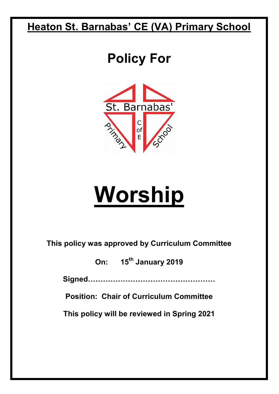### **Heaton St. Barnabas' CE (VA) Primary School**

## **Policy For**



# **Worship**

**This policy was approved by Curriculum Committee** 

**On: 15th January 2019** 

**Signed……………………………………………**

**Position: Chair of Curriculum Committee** 

**This policy will be reviewed in Spring 2021**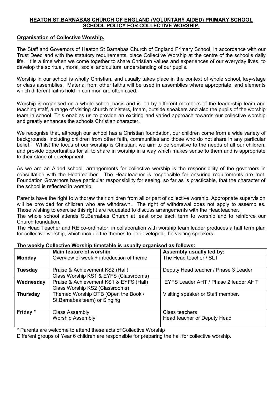#### **HEATON ST.BARNABAS CHURCH OF ENGLAND (VOLUNTARY AIDED) PRIMARY SCHOOL SCHOOL POLICY FOR COLLECTIVE WORSHIP.**

#### **Organisation of Collective Worship.**

The Staff and Governors of Heaton St Barnabas Church of England Primary School, in accordance with our Trust Deed and with the statutory requirements, place Collective Worship at the centre of the school's daily life. It is a time when we come together to share Christian values and experiences of our everyday lives, to develop the spiritual, moral, social and cultural understanding of our pupils.

Worship in our school is wholly Christian, and usually takes place in the context of whole school, key-stage or class assemblies. Material from other faiths will be used in assemblies where appropriate, and elements which different faiths hold in common are often used.

Worship is organised on a whole school basis and is led by different members of the leadership team and teaching staff, a range of visiting church ministers, Imam, outside speakers and also the pupils of the worship team in school. This enables us to provide an exciting and varied approach towards our collective worship and greatly enhances the schools Christian character.

We recognise that, although our school has a Christian foundation, our children come from a wide variety of backgrounds, including children from other faith, communities and those who do not share in any particular belief. Whilst the focus of our worship is Christian, we aim to be sensitive to the needs of all our children, and provide opportunities for all to share in worship in a way which makes sense to them and is appropriate to their stage of development.

As we are an Aided school, arrangements for collective worship is the responsibility of the governors in consultation with the Headteacher. The Headteacher is responsible for ensuring requirements are met. Foundation Governors have particular responsibility for seeing, so far as is practicable, that the character of the school is reflected in worship.

Parents have the right to withdraw their children from all or part of collective worship. Appropriate supervision will be provided for children who are withdrawn. The right of withdrawal does not apply to assemblies. Those wishing to exercise this right are requested to discuss arrangements with the Headteacher.

The whole school attends St.Barnabas Church at least once each term to worship and to reinforce our Church foundation.

The Head Teacher and RE co-ordinator, in collaboration with worship team leader produces a half term plan for collective worship, which include the themes to be developed, the visiting speakers.

|                 | Main feature of worship                                                  | Assembly usually led by:                      |
|-----------------|--------------------------------------------------------------------------|-----------------------------------------------|
| <b>Monday</b>   | Overview of week + introduction of theme                                 | The Head teacher / SLT                        |
| <b>Tuesday</b>  | Praise & Achievement KS2 (Hall)<br>Class Worship KS1 & EYFS (Classrooms) | Deputy Head teacher / Phase 3 Leader          |
| Wednesday       | Praise & Achievement KS1 & EYFS (Hall)<br>Class Worship KS2 (Classrooms) | EYFS Leader AHT / Phase 2 leader AHT          |
| <b>Thursday</b> | Themed Worship OTB (Open the Book /<br>St. Barnabas team) or Singing     | Visiting speaker or Staff member.             |
| Friday *        | <b>Class Assembly</b><br><b>Worship Assembly</b>                         | Class teachers<br>Head teacher or Deputy Head |

#### **The weekly Collective Worship timetable is usually organised as follows:**

Parents are welcome to attend these acts of Collective Worship

Different groups of Year 6 children are responsible for preparing the hall for collective worship.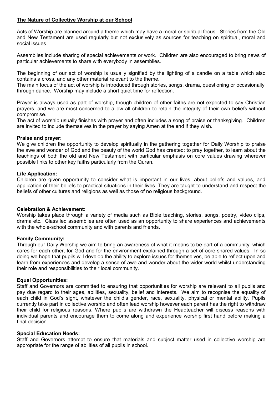#### **The Nature of Collective Worship at our School**

Acts of Worship are planned around a theme which may have a moral or spiritual focus. Stories from the Old and New Testament are used regularly but not exclusively as sources for teaching on spiritual, moral and social issues.

Assemblies include sharing of special achievements or work. Children are also encouraged to bring news of particular achievements to share with everybody in assemblies.

The beginning of our act of worship is usually signified by the lighting of a candle on a table which also contains a cross, and any other material relevant to the theme.

The main focus of the act of worship is introduced through stories, songs, drama, questioning or occasionally through dance. Worship may include a short quiet time for reflection.

Prayer is always used as part of worship, though children of other faiths are not expected to say Christian prayers, and we are most concerned to allow all children to retain the integrity of their own beliefs without compromise.

The act of worship usually finishes with prayer and often includes a song of praise or thanksgiving. Children are invited to include themselves in the prayer by saying Amen at the end if they wish.

#### **Praise and prayer:**

We give children the opportunity to develop spiritually in the gathering together for Daily Worship to praise the awe and wonder of God and the beauty of the world God has created; to pray together, to learn about the teachings of both the old and New Testament with particular emphasis on core values drawing wherever possible links to other key faiths particularly from the Quran.

#### **Life Application:**

Children are given opportunity to consider what is important in our lives, about beliefs and values, and application of their beliefs to practical situations in their lives. They are taught to understand and respect the beliefs of other cultures and religions as well as those of no religious background.

#### **Celebration & Achievement:**

Worship takes place through a variety of media such as Bible teaching, stories, songs, poetry, video clips, drama etc. Class led assemblies are often used as an opportunity to share experiences and achievements with the whole-school community and with parents and friends.

#### **Family Community:**

Through our Daily Worship we aim to bring an awareness of what it means to be part of a community, which cares for each other, for God and for the environment explained through a set of core shared values. In so doing we hope that pupils will develop the ability to explore issues for themselves, be able to reflect upon and learn from experiences and develop a sense of awe and wonder about the wider world whilst understanding their role and responsibilities to their local community.

#### **Equal Opportunities:**

Staff and Governors are committed to ensuring that opportunities for worship are relevant to all pupils and pay due regard to their ages, abilities, sexuality, belief and interests. We aim to recognise the equality of each child in God's sight, whatever the child's gender, race, sexuality, physical or mental ability. Pupils currently take part in collective worship and often lead worship however each parent has the right to withdraw their child for religious reasons. Where pupils are withdrawn the Headteacher will discuss reasons with individual parents and encourage them to come along and experience worship first hand before making a final decision.

#### **Special Education Needs:**

Staff and Governors attempt to ensure that materials and subject matter used in collective worship are appropriate for the range of abilities of all pupils in school.